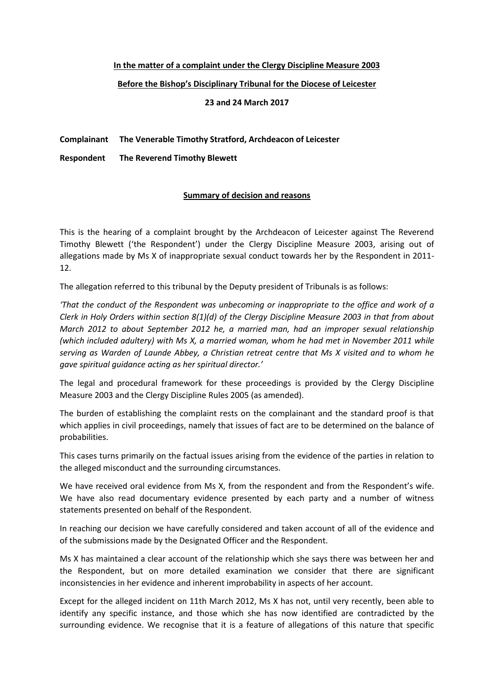## **In the matter of a complaint under the Clergy Discipline Measure 2003**

## **Before the Bishop's Disciplinary Tribunal for the Diocese of Leicester**

**23 and 24 March 2017**

## **Complainant The Venerable Timothy Stratford, Archdeacon of Leicester**

**Respondent The Reverend Timothy Blewett**

## **Summary of decision and reasons**

This is the hearing of a complaint brought by the Archdeacon of Leicester against The Reverend Timothy Blewett ('the Respondent') under the Clergy Discipline Measure 2003, arising out of allegations made by Ms X of inappropriate sexual conduct towards her by the Respondent in 2011- 12.

The allegation referred to this tribunal by the Deputy president of Tribunals is as follows:

*'That the conduct of the Respondent was unbecoming or inappropriate to the office and work of a Clerk in Holy Orders within section 8(1)(d) of the Clergy Discipline Measure 2003 in that from about March 2012 to about September 2012 he, a married man, had an improper sexual relationship (which included adultery) with Ms X, a married woman, whom he had met in November 2011 while serving as Warden of Launde Abbey, a Christian retreat centre that Ms X visited and to whom he gave spiritual guidance acting as her spiritual director.'*

The legal and procedural framework for these proceedings is provided by the Clergy Discipline Measure 2003 and the Clergy Discipline Rules 2005 (as amended).

The burden of establishing the complaint rests on the complainant and the standard proof is that which applies in civil proceedings, namely that issues of fact are to be determined on the balance of probabilities.

This cases turns primarily on the factual issues arising from the evidence of the parties in relation to the alleged misconduct and the surrounding circumstances.

We have received oral evidence from Ms X, from the respondent and from the Respondent's wife. We have also read documentary evidence presented by each party and a number of witness statements presented on behalf of the Respondent.

In reaching our decision we have carefully considered and taken account of all of the evidence and of the submissions made by the Designated Officer and the Respondent.

Ms X has maintained a clear account of the relationship which she says there was between her and the Respondent, but on more detailed examination we consider that there are significant inconsistencies in her evidence and inherent improbability in aspects of her account.

Except for the alleged incident on 11th March 2012, Ms X has not, until very recently, been able to identify any specific instance, and those which she has now identified are contradicted by the surrounding evidence. We recognise that it is a feature of allegations of this nature that specific